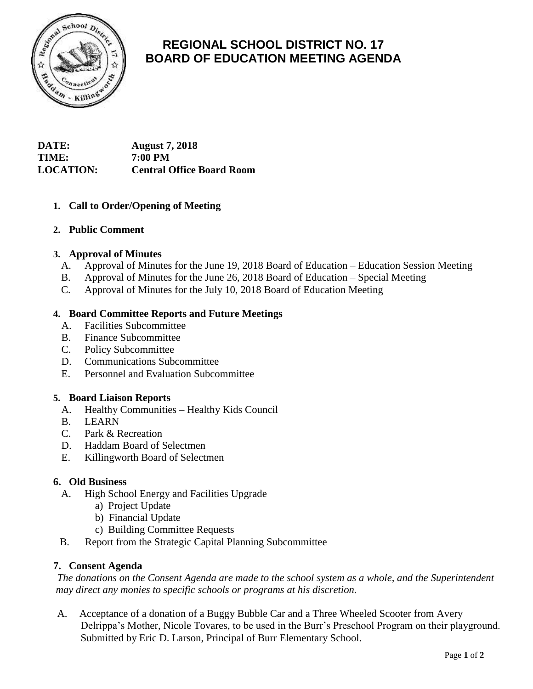

# **REGIONAL SCHOOL DISTRICT NO. 17 BOARD OF EDUCATION MEETING AGENDA**

## **DATE: August 7, 2018 TIME: 7:00 PM LOCATION: Central Office Board Room**

## **1. Call to Order/Opening of Meeting**

### **2. Public Comment**

#### **3. Approval of Minutes**

- A. Approval of Minutes for the June 19, 2018 Board of Education Education Session Meeting
- B. Approval of Minutes for the June 26, 2018 Board of Education Special Meeting
- C. Approval of Minutes for the July 10, 2018 Board of Education Meeting

#### **4. Board Committee Reports and Future Meetings**

- A. Facilities Subcommittee
- B. Finance Subcommittee
- C. Policy Subcommittee
- D. Communications Subcommittee
- E. Personnel and Evaluation Subcommittee

#### **5. Board Liaison Reports**

- A. Healthy Communities Healthy Kids Council
- B. LEARN
- C. Park & Recreation
- D. Haddam Board of Selectmen
- E. Killingworth Board of Selectmen

#### **6. Old Business**

- A. High School Energy and Facilities Upgrade
	- a) Project Update
	- b) Financial Update
	- c) Building Committee Requests
- B. Report from the Strategic Capital Planning Subcommittee

#### **7. Consent Agenda**

*The donations on the Consent Agenda are made to the school system as a whole, and the Superintendent may direct any monies to specific schools or programs at his discretion.* 

A. Acceptance of a donation of a Buggy Bubble Car and a Three Wheeled Scooter from Avery Delrippa's Mother, Nicole Tovares, to be used in the Burr's Preschool Program on their playground. Submitted by Eric D. Larson, Principal of Burr Elementary School.